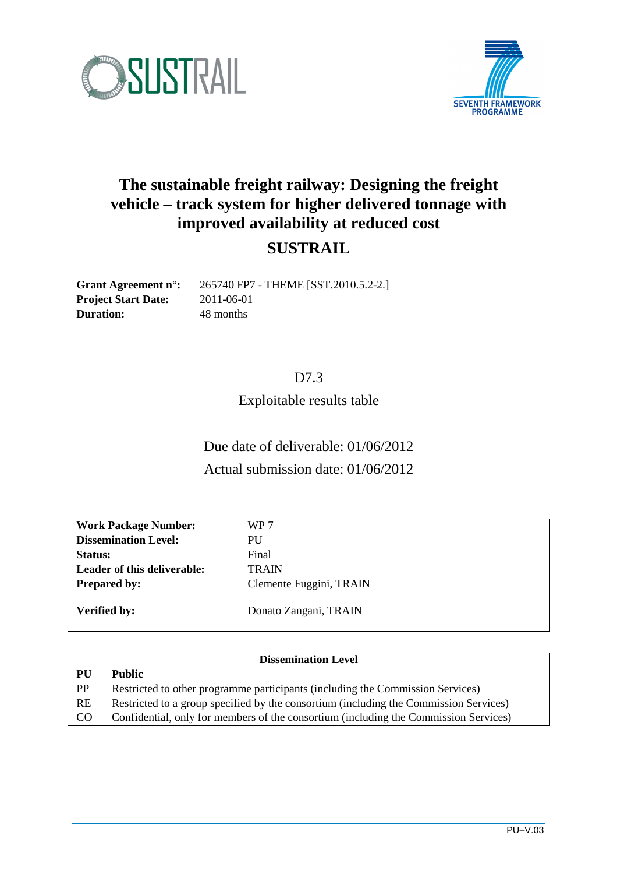



# **The sustainable freight railway: Designing the freight vehicle – track system for higher delivered tonnage with improved availability at reduced cost**

### **SUSTRAIL**

**Project Start Date:** 2011-06-01 **Duration:** 48 months

**Grant Agreement n°:** 265740 FP7 - THEME [SST.2010.5.2-2.]

#### D7.3

Exploitable results table

Due date of deliverable: 01/06/2012 Actual submission date: 01/06/2012

| <b>Work Package Number:</b> | WP 7                    |
|-----------------------------|-------------------------|
| <b>Dissemination Level:</b> | <b>PU</b>               |
| Status:                     | Final                   |
| Leader of this deliverable: | <b>TRAIN</b>            |
| <b>Prepared by:</b>         | Clemente Fuggini, TRAIN |
|                             |                         |
| <b>Verified by:</b>         | Donato Zangani, TRAIN   |

#### **Dissemination Level**

**PU Public** PP Restricted to other programme participants (including the Commission Services) RE Restricted to a group specified by the consortium (including the Commission Services) CO Confidential, only for members of the consortium (including the Commission Services)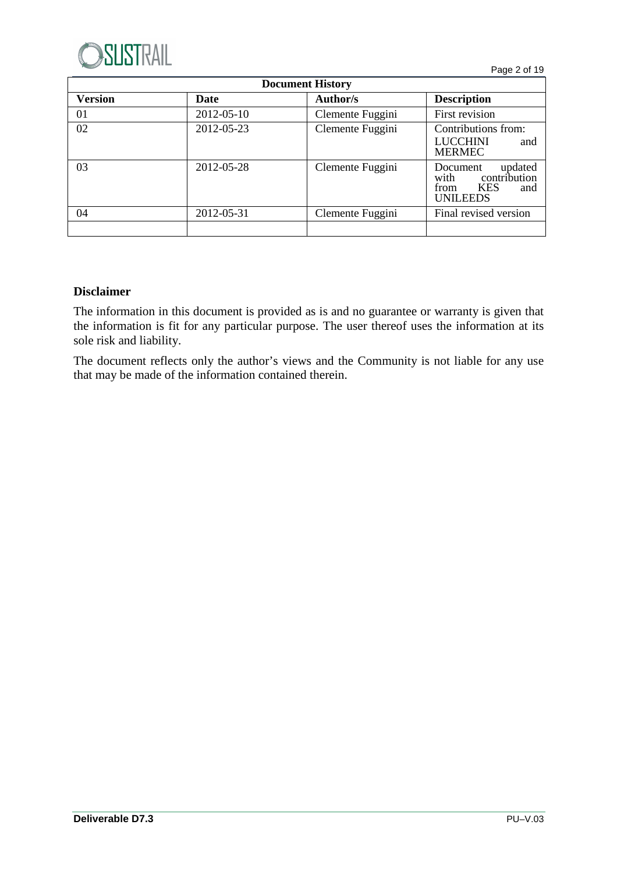

| <b>Document History</b>                                  |            |                  |                                                                                             |  |  |  |  |  |  |
|----------------------------------------------------------|------------|------------------|---------------------------------------------------------------------------------------------|--|--|--|--|--|--|
| <b>Version</b><br>Author/s<br><b>Description</b><br>Date |            |                  |                                                                                             |  |  |  |  |  |  |
| 01                                                       | 2012-05-10 | Clemente Fuggini | First revision                                                                              |  |  |  |  |  |  |
| 02                                                       | 2012-05-23 | Clemente Fuggini | Contributions from:<br><b>LUCCHINI</b><br>and<br><b>MERMEC</b>                              |  |  |  |  |  |  |
| 03                                                       | 2012-05-28 | Clemente Fuggini | updated<br>Document<br>contribution<br>with<br><b>KES</b><br>and<br>from<br><b>UNILEEDS</b> |  |  |  |  |  |  |
| 04                                                       | 2012-05-31 | Clemente Fuggini | Final revised version                                                                       |  |  |  |  |  |  |
|                                                          |            |                  |                                                                                             |  |  |  |  |  |  |

#### **Disclaimer**

The information in this document is provided as is and no guarantee or warranty is given that the information is fit for any particular purpose. The user thereof uses the information at its sole risk and liability.

The document reflects only the author's views and the Community is not liable for any use that may be made of the information contained therein.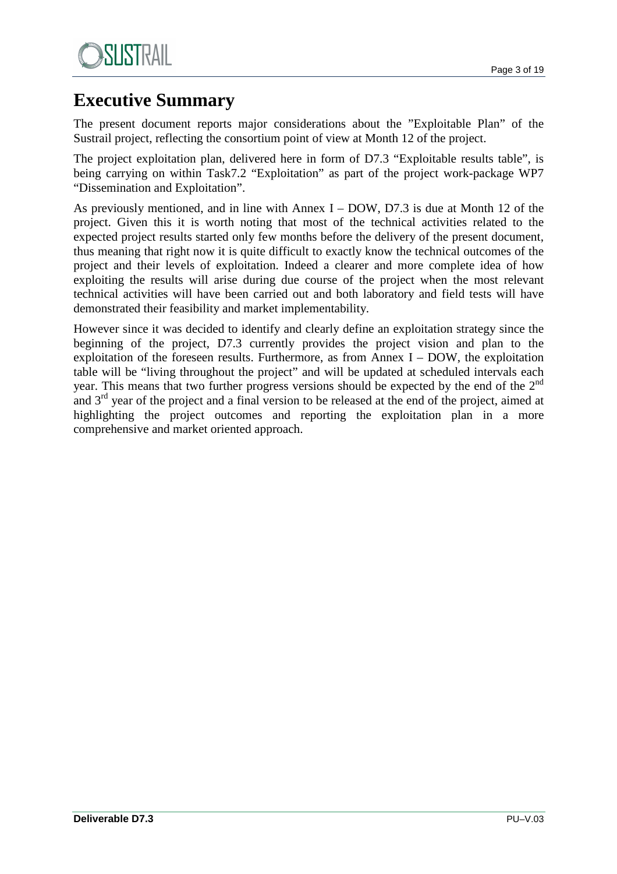

# **Executive Summary**

The present document reports major considerations about the "Exploitable Plan" of the Sustrail project, reflecting the consortium point of view at Month 12 of the project.

The project exploitation plan, delivered here in form of D7.3 "Exploitable results table", is being carrying on within Task7.2 "Exploitation" as part of the project work-package WP7 "Dissemination and Exploitation".

As previously mentioned, and in line with Annex I – DOW, D7.3 is due at Month 12 of the project. Given this it is worth noting that most of the technical activities related to the expected project results started only few months before the delivery of the present document, thus meaning that right now it is quite difficult to exactly know the technical outcomes of the project and their levels of exploitation. Indeed a clearer and more complete idea of how exploiting the results will arise during due course of the project when the most relevant technical activities will have been carried out and both laboratory and field tests will have demonstrated their feasibility and market implementability.

However since it was decided to identify and clearly define an exploitation strategy since the beginning of the project, D7.3 currently provides the project vision and plan to the exploitation of the foreseen results. Furthermore, as from Annex  $I - DOW$ , the exploitation table will be "living throughout the project" and will be updated at scheduled intervals each year. This means that two further progress versions should be expected by the end of the  $2<sup>nd</sup>$ and  $3<sup>rd</sup>$  year of the project and a final version to be released at the end of the project, aimed at highlighting the project outcomes and reporting the exploitation plan in a more comprehensive and market oriented approach.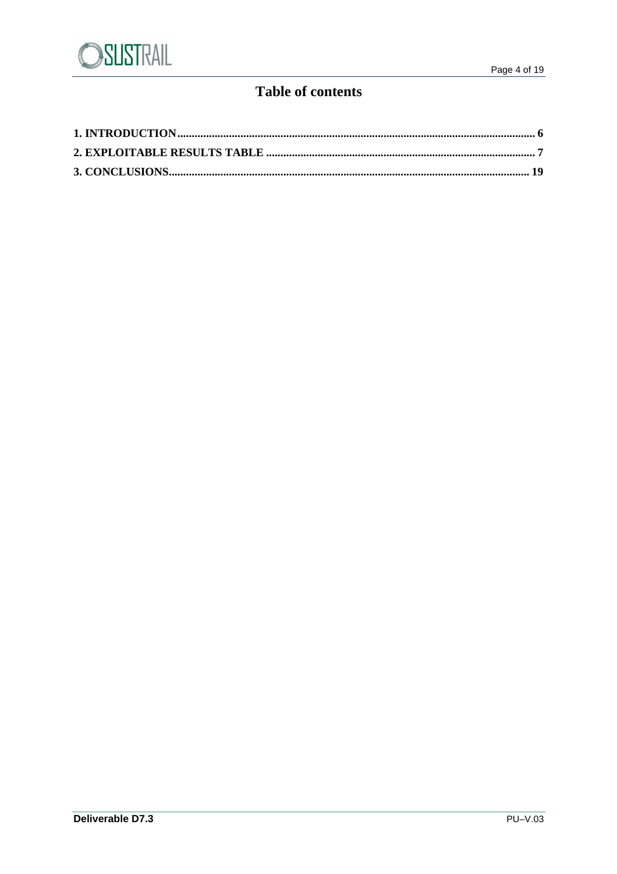

### **Table of contents**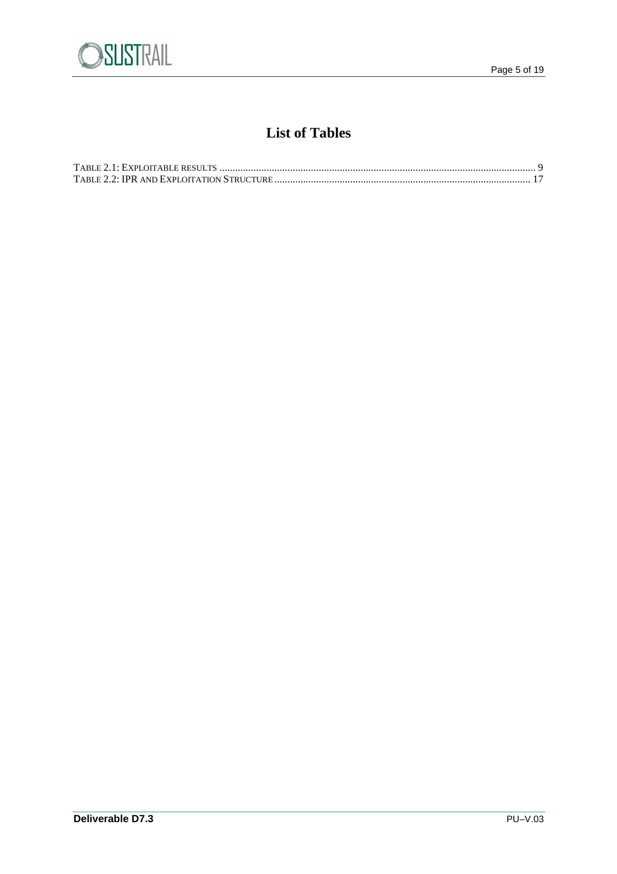

### **List of Tables**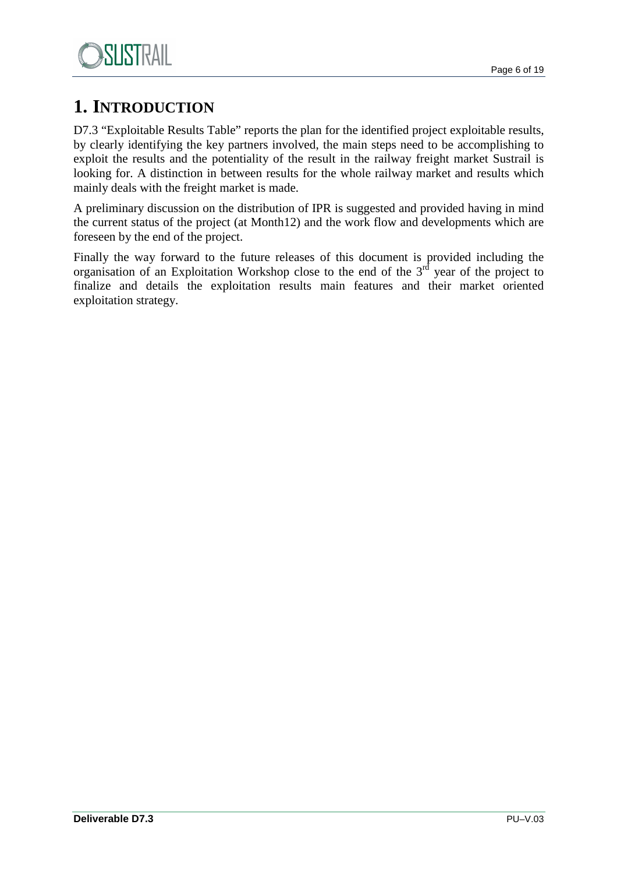

# **1. INTRODUCTION**

D7.3 "Exploitable Results Table" reports the plan for the identified project exploitable results, by clearly identifying the key partners involved, the main steps need to be accomplishing to exploit the results and the potentiality of the result in the railway freight market Sustrail is looking for. A distinction in between results for the whole railway market and results which mainly deals with the freight market is made.

A preliminary discussion on the distribution of IPR is suggested and provided having in mind the current status of the project (at Month12) and the work flow and developments which are foreseen by the end of the project.

Finally the way forward to the future releases of this document is provided including the organisation of an Exploitation Workshop close to the end of the  $3<sup>rd</sup>$  year of the project to finalize and details the exploitation results main features and their market oriented exploitation strategy.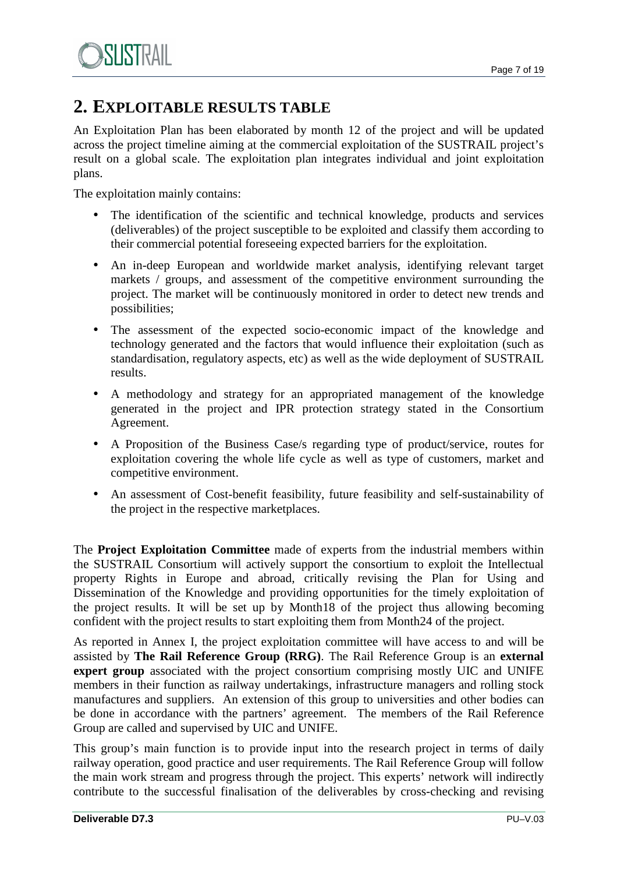

## **2. EXPLOITABLE RESULTS TABLE**

An Exploitation Plan has been elaborated by month 12 of the project and will be updated across the project timeline aiming at the commercial exploitation of the SUSTRAIL project's result on a global scale. The exploitation plan integrates individual and joint exploitation plans.

The exploitation mainly contains:

- The identification of the scientific and technical knowledge, products and services (deliverables) of the project susceptible to be exploited and classify them according to their commercial potential foreseeing expected barriers for the exploitation.
- An in-deep European and worldwide market analysis, identifying relevant target markets / groups, and assessment of the competitive environment surrounding the project. The market will be continuously monitored in order to detect new trends and possibilities;
- The assessment of the expected socio-economic impact of the knowledge and technology generated and the factors that would influence their exploitation (such as standardisation, regulatory aspects, etc) as well as the wide deployment of SUSTRAIL results.
- A methodology and strategy for an appropriated management of the knowledge generated in the project and IPR protection strategy stated in the Consortium Agreement.
- A Proposition of the Business Case/s regarding type of product/service, routes for exploitation covering the whole life cycle as well as type of customers, market and competitive environment.
- An assessment of Cost-benefit feasibility, future feasibility and self-sustainability of the project in the respective marketplaces.

The **Project Exploitation Committee** made of experts from the industrial members within the SUSTRAIL Consortium will actively support the consortium to exploit the Intellectual property Rights in Europe and abroad, critically revising the Plan for Using and Dissemination of the Knowledge and providing opportunities for the timely exploitation of the project results. It will be set up by Month18 of the project thus allowing becoming confident with the project results to start exploiting them from Month24 of the project.

As reported in Annex I, the project exploitation committee will have access to and will be assisted by **The Rail Reference Group (RRG)**. The Rail Reference Group is an **external expert group** associated with the project consortium comprising mostly UIC and UNIFE members in their function as railway undertakings, infrastructure managers and rolling stock manufactures and suppliers. An extension of this group to universities and other bodies can be done in accordance with the partners' agreement. The members of the Rail Reference Group are called and supervised by UIC and UNIFE.

This group's main function is to provide input into the research project in terms of daily railway operation, good practice and user requirements. The Rail Reference Group will follow the main work stream and progress through the project. This experts' network will indirectly contribute to the successful finalisation of the deliverables by cross-checking and revising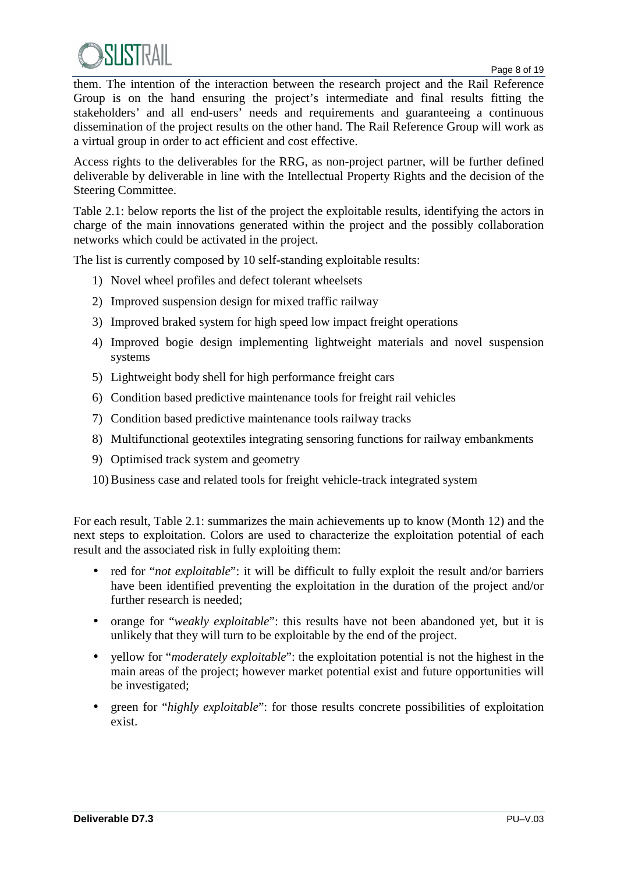

them. The intention of the interaction between the research project and the Rail Reference Group is on the hand ensuring the project's intermediate and final results fitting the stakeholders' and all end-users' needs and requirements and guaranteeing a continuous dissemination of the project results on the other hand. The Rail Reference Group will work as a virtual group in order to act efficient and cost effective.

Access rights to the deliverables for the RRG, as non-project partner, will be further defined deliverable by deliverable in line with the Intellectual Property Rights and the decision of the Steering Committee.

Table 2.1: below reports the list of the project the exploitable results, identifying the actors in charge of the main innovations generated within the project and the possibly collaboration networks which could be activated in the project.

The list is currently composed by 10 self-standing exploitable results:

- 1) Novel wheel profiles and defect tolerant wheelsets
- 2) Improved suspension design for mixed traffic railway
- 3) Improved braked system for high speed low impact freight operations
- 4) Improved bogie design implementing lightweight materials and novel suspension systems
- 5) Lightweight body shell for high performance freight cars
- 6) Condition based predictive maintenance tools for freight rail vehicles
- 7) Condition based predictive maintenance tools railway tracks
- 8) Multifunctional geotextiles integrating sensoring functions for railway embankments
- 9) Optimised track system and geometry
- 10) Business case and related tools for freight vehicle-track integrated system

For each result, Table 2.1: summarizes the main achievements up to know (Month 12) and the next steps to exploitation. Colors are used to characterize the exploitation potential of each result and the associated risk in fully exploiting them:

- red for "*not exploitable*": it will be difficult to fully exploit the result and/or barriers have been identified preventing the exploitation in the duration of the project and/or further research is needed;
- orange for "*weakly exploitable*": this results have not been abandoned yet, but it is unlikely that they will turn to be exploitable by the end of the project.
- yellow for "*moderately exploitable*": the exploitation potential is not the highest in the main areas of the project; however market potential exist and future opportunities will be investigated;
- green for "*highly exploitable*": for those results concrete possibilities of exploitation exist.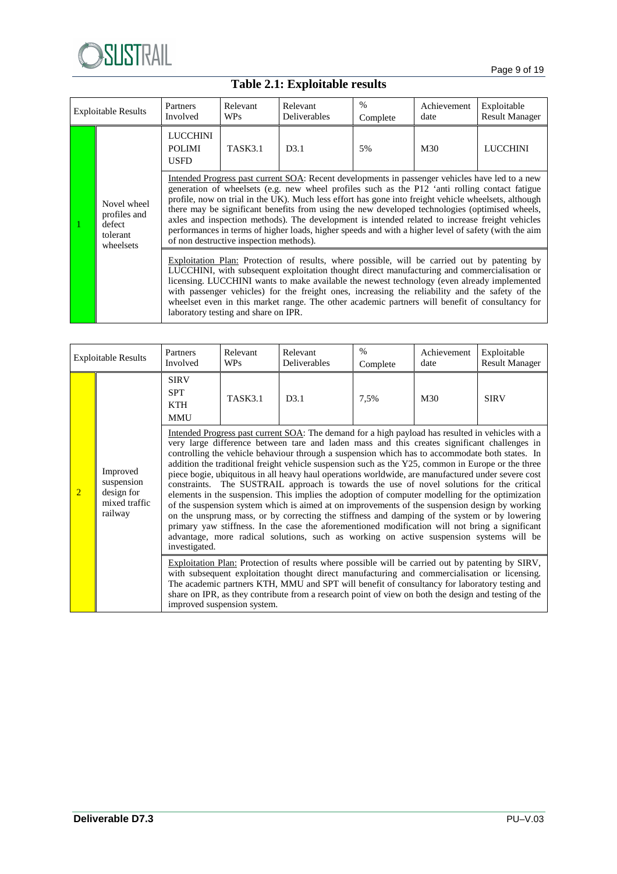

## **Table 2.1: Exploitable results**

| <b>Exploitable Results</b> |                                                                | Partners<br>Involved                            | Relevant<br><b>WPs</b>                          | Relevant<br>Deliverables                                                                                                                                                                                                                                                                                                                                                                                                                                                                                                                                                                                               | $\%$<br>Complete | Achievement<br>date | Exploitable<br><b>Result Manager</b> |  |  |
|----------------------------|----------------------------------------------------------------|-------------------------------------------------|-------------------------------------------------|------------------------------------------------------------------------------------------------------------------------------------------------------------------------------------------------------------------------------------------------------------------------------------------------------------------------------------------------------------------------------------------------------------------------------------------------------------------------------------------------------------------------------------------------------------------------------------------------------------------------|------------------|---------------------|--------------------------------------|--|--|
|                            |                                                                | <b>LUCCHINI</b><br><b>POLIMI</b><br><b>USED</b> | D3.1<br>TASK3.1<br>M30<br><b>LUCCHINI</b><br>5% |                                                                                                                                                                                                                                                                                                                                                                                                                                                                                                                                                                                                                        |                  |                     |                                      |  |  |
|                            | Novel wheel<br>profiles and<br>defect<br>tolerant<br>wheelsets |                                                 | of non destructive inspection methods).         | Intended Progress past current SOA: Recent developments in passenger vehicles have led to a new<br>generation of wheelsets (e.g. new wheel profiles such as the P12 'anti rolling contact fatigue<br>profile, now on trial in the UK). Much less effort has gone into freight vehicle wheelsets, although<br>there may be significant benefits from using the new developed technologies (optimised wheels,<br>axles and inspection methods). The development is intended related to increase freight vehicles<br>performances in terms of higher loads, higher speeds and with a higher level of safety (with the aim |                  |                     |                                      |  |  |
|                            |                                                                |                                                 | laboratory testing and share on IPR.            | Exploitation Plan: Protection of results, where possible, will be carried out by patenting by<br>LUCCHINI, with subsequent exploitation thought direct manufacturing and commercialisation or<br>licensing. LUCCHINI wants to make available the newest technology (even already implemented<br>with passenger vehicles) for the freight ones, increasing the reliability and the safety of the<br>wheelset even in this market range. The other academic partners will benefit of consultancy for                                                                                                                     |                  |                     |                                      |  |  |

| <b>Exploitable Results</b> |                                                                  | Partners<br>Involved                           | Relevant<br><b>WPs</b>                                                                                                                                                                                                                                                                                                                                                                                                                     | Relevant<br>Deliverables                                                                                                                                                                                                                                                                                                                                                                                                                                                                                                                                                                                                                                                                                                                                                                                                                                                                                                                                                                                      | $\%$<br>Complete | Achievement<br>date | Exploitable<br><b>Result Manager</b> |  |  |
|----------------------------|------------------------------------------------------------------|------------------------------------------------|--------------------------------------------------------------------------------------------------------------------------------------------------------------------------------------------------------------------------------------------------------------------------------------------------------------------------------------------------------------------------------------------------------------------------------------------|---------------------------------------------------------------------------------------------------------------------------------------------------------------------------------------------------------------------------------------------------------------------------------------------------------------------------------------------------------------------------------------------------------------------------------------------------------------------------------------------------------------------------------------------------------------------------------------------------------------------------------------------------------------------------------------------------------------------------------------------------------------------------------------------------------------------------------------------------------------------------------------------------------------------------------------------------------------------------------------------------------------|------------------|---------------------|--------------------------------------|--|--|
|                            |                                                                  | <b>SIRV</b><br><b>SPT</b><br>KTH<br><b>MMU</b> | TASK3.1<br>D3.1<br>7,5%<br>M30<br><b>SIRV</b><br>Intended Progress past current SOA: The demand for a high payload has resulted in vehicles with a                                                                                                                                                                                                                                                                                         |                                                                                                                                                                                                                                                                                                                                                                                                                                                                                                                                                                                                                                                                                                                                                                                                                                                                                                                                                                                                               |                  |                     |                                      |  |  |
| $\overline{2}$             | Improved<br>suspension<br>design for<br>mixed traffic<br>railway | investigated.                                  |                                                                                                                                                                                                                                                                                                                                                                                                                                            | very large difference between tare and laden mass and this creates significant challenges in<br>controlling the vehicle behaviour through a suspension which has to accommodate both states. In<br>addition the traditional freight vehicle suspension such as the Y25, common in Europe or the three<br>piece bogie, ubiquitous in all heavy haul operations worldwide, are manufactured under severe cost<br>constraints. The SUSTRAIL approach is towards the use of novel solutions for the critical<br>elements in the suspension. This implies the adoption of computer modelling for the optimization<br>of the suspension system which is aimed at on improvements of the suspension design by working<br>on the unsprung mass, or by correcting the stiffness and damping of the system or by lowering<br>primary yaw stiffness. In the case the aforementioned modification will not bring a significant<br>advantage, more radical solutions, such as working on active suspension systems will be |                  |                     |                                      |  |  |
|                            |                                                                  |                                                | Exploitation Plan: Protection of results where possible will be carried out by patenting by SIRV,<br>with subsequent exploitation thought direct manufacturing and commercialisation or licensing.<br>The academic partners KTH, MMU and SPT will benefit of consultancy for laboratory testing and<br>share on IPR, as they contribute from a research point of view on both the design and testing of the<br>improved suspension system. |                                                                                                                                                                                                                                                                                                                                                                                                                                                                                                                                                                                                                                                                                                                                                                                                                                                                                                                                                                                                               |                  |                     |                                      |  |  |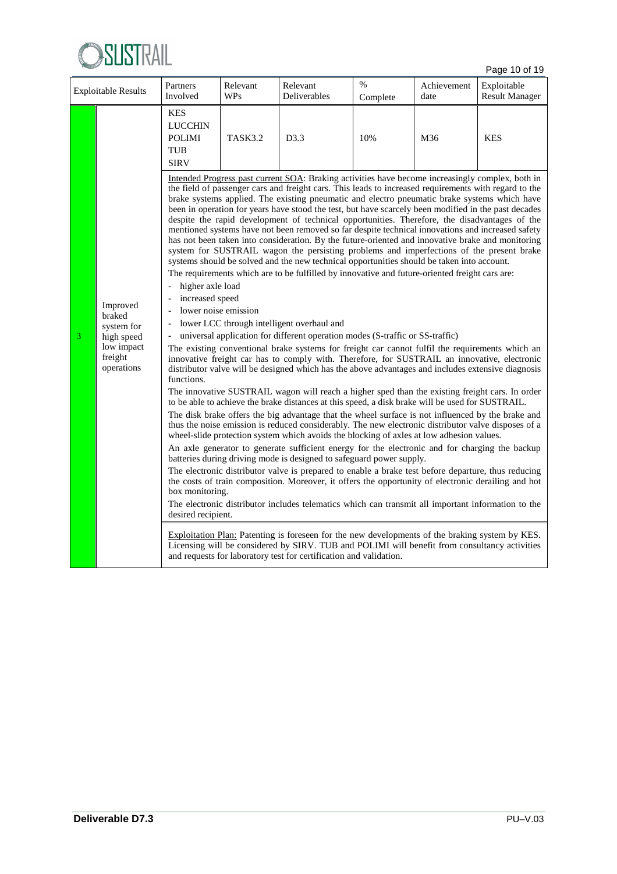

Page 10 of 19

| <b>Exploitable Results</b> |                                                                                       | Partners<br>Involved                                                                                                                                            | Relevant<br><b>WPs</b> | Relevant<br>Deliverables                                                                                                                                                                                                                                                                                                                                                                                                                                                                                                                                                                                                                                                                                                                                                                                                                                                                                                                                                                                                                                                                                                                                                                                                                                                                                                                                                                                                                                                                                                                                                                                                                                                                                                                                                                                                                                                                                                                                                                                                                                                                                                                                                                                                                                                                                                                                                                                                                                                                                                                                                                                                                                                                                                                                | %<br>Complete | Achievement<br>date | Exploitable<br><b>Result Manager</b> |
|----------------------------|---------------------------------------------------------------------------------------|-----------------------------------------------------------------------------------------------------------------------------------------------------------------|------------------------|---------------------------------------------------------------------------------------------------------------------------------------------------------------------------------------------------------------------------------------------------------------------------------------------------------------------------------------------------------------------------------------------------------------------------------------------------------------------------------------------------------------------------------------------------------------------------------------------------------------------------------------------------------------------------------------------------------------------------------------------------------------------------------------------------------------------------------------------------------------------------------------------------------------------------------------------------------------------------------------------------------------------------------------------------------------------------------------------------------------------------------------------------------------------------------------------------------------------------------------------------------------------------------------------------------------------------------------------------------------------------------------------------------------------------------------------------------------------------------------------------------------------------------------------------------------------------------------------------------------------------------------------------------------------------------------------------------------------------------------------------------------------------------------------------------------------------------------------------------------------------------------------------------------------------------------------------------------------------------------------------------------------------------------------------------------------------------------------------------------------------------------------------------------------------------------------------------------------------------------------------------------------------------------------------------------------------------------------------------------------------------------------------------------------------------------------------------------------------------------------------------------------------------------------------------------------------------------------------------------------------------------------------------------------------------------------------------------------------------------------------------|---------------|---------------------|--------------------------------------|
|                            |                                                                                       | <b>KES</b><br><b>LUCCHIN</b><br><b>POLIMI</b><br><b>TUB</b><br><b>SIRV</b>                                                                                      | TASK3.2                | D3.3                                                                                                                                                                                                                                                                                                                                                                                                                                                                                                                                                                                                                                                                                                                                                                                                                                                                                                                                                                                                                                                                                                                                                                                                                                                                                                                                                                                                                                                                                                                                                                                                                                                                                                                                                                                                                                                                                                                                                                                                                                                                                                                                                                                                                                                                                                                                                                                                                                                                                                                                                                                                                                                                                                                                                    | 10%           | M36                 | <b>KES</b>                           |
| 3                          | Improved<br>braked<br>system for<br>high speed<br>low impact<br>freight<br>operations | higher axle load<br>$\overline{\phantom{a}}$<br>increased speed<br>lower noise emission<br>$\frac{1}{2}$<br>functions.<br>box monitoring.<br>desired recipient. |                        | Intended Progress past current SOA: Braking activities have become increasingly complex, both in<br>the field of passenger cars and freight cars. This leads to increased requirements with regard to the<br>brake systems applied. The existing pneumatic and electro pneumatic brake systems which have<br>been in operation for years have stood the test, but have scarcely been modified in the past decades<br>despite the rapid development of technical opportunities. Therefore, the disadvantages of the<br>mentioned systems have not been removed so far despite technical innovations and increased safety<br>has not been taken into consideration. By the future-oriented and innovative brake and monitoring<br>system for SUSTRAIL wagon the persisting problems and imperfections of the present brake<br>systems should be solved and the new technical opportunities should be taken into account.<br>The requirements which are to be fulfilled by innovative and future-oriented freight cars are:<br>lower LCC through intelligent overhaul and<br>universal application for different operation modes (S-traffic or SS-traffic)<br>The existing conventional brake systems for freight car cannot fulfil the requirements which an<br>innovative freight car has to comply with. Therefore, for SUSTRAIL an innovative, electronic<br>distributor valve will be designed which has the above advantages and includes extensive diagnosis<br>The innovative SUSTRAIL wagon will reach a higher sped than the existing freight cars. In order<br>to be able to achieve the brake distances at this speed, a disk brake will be used for SUSTRAIL.<br>The disk brake offers the big advantage that the wheel surface is not influenced by the brake and<br>thus the noise emission is reduced considerably. The new electronic distributor valve disposes of a<br>wheel-slide protection system which avoids the blocking of axles at low adhesion values.<br>An axle generator to generate sufficient energy for the electronic and for charging the backup<br>batteries during driving mode is designed to safeguard power supply.<br>The electronic distributor valve is prepared to enable a brake test before departure, thus reducing<br>the costs of train composition. Moreover, it offers the opportunity of electronic derailing and hot<br>The electronic distributor includes telematics which can transmit all important information to the<br>Exploitation Plan: Patenting is foreseen for the new developments of the braking system by KES.<br>Licensing will be considered by SIRV. TUB and POLIMI will benefit from consultancy activities<br>and requests for laboratory test for certification and validation. |               |                     |                                      |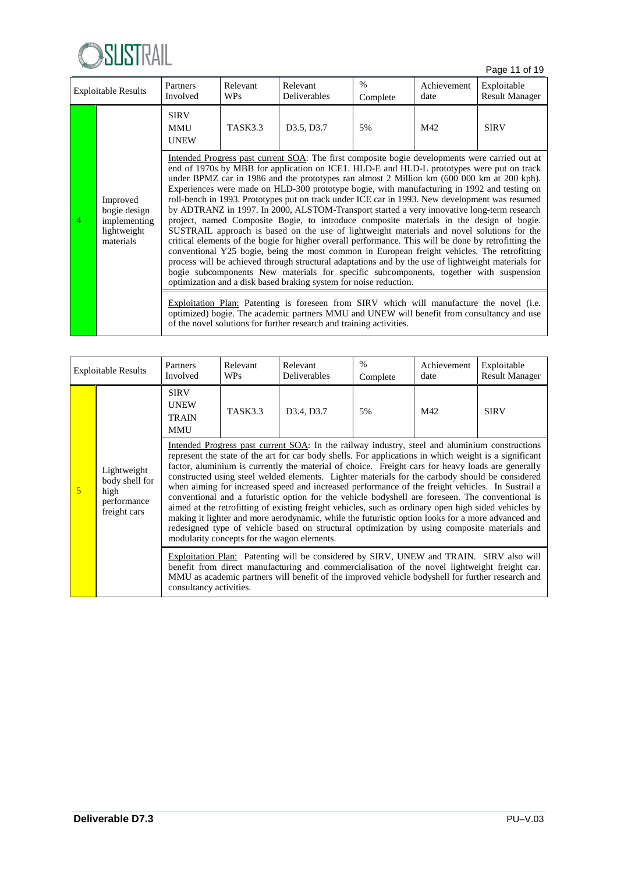

Page 11 of 19

|   | <b>Exploitable Results</b>                                           | Partners<br>Involved                     | Relevant<br><b>WPs</b> | Relevant<br>Deliverables                                                                                                                                                                                                                                                                                                                                                                                                                                                                                                                                                                                                                                                                                                                                                                                                                                                                                                                                                                                                                                                                                                                                                                                                                                                                                                                                                                                                                                                                                                            | $\%$<br>Complete | Achievement<br>date | Exploitable<br><b>Result Manager</b> |
|---|----------------------------------------------------------------------|------------------------------------------|------------------------|-------------------------------------------------------------------------------------------------------------------------------------------------------------------------------------------------------------------------------------------------------------------------------------------------------------------------------------------------------------------------------------------------------------------------------------------------------------------------------------------------------------------------------------------------------------------------------------------------------------------------------------------------------------------------------------------------------------------------------------------------------------------------------------------------------------------------------------------------------------------------------------------------------------------------------------------------------------------------------------------------------------------------------------------------------------------------------------------------------------------------------------------------------------------------------------------------------------------------------------------------------------------------------------------------------------------------------------------------------------------------------------------------------------------------------------------------------------------------------------------------------------------------------------|------------------|---------------------|--------------------------------------|
|   |                                                                      | <b>SIRV</b><br><b>MMU</b><br><b>UNEW</b> | <b>TASK3.3</b>         | D3.5, D3.7                                                                                                                                                                                                                                                                                                                                                                                                                                                                                                                                                                                                                                                                                                                                                                                                                                                                                                                                                                                                                                                                                                                                                                                                                                                                                                                                                                                                                                                                                                                          | 5%               | M42                 | <b>SIRV</b>                          |
| 4 | Improved<br>bogie design<br>implementing<br>lightweight<br>materials |                                          |                        | Intended Progress past current SOA: The first composite bogie developments were carried out at<br>end of 1970s by MBB for application on ICE1. HLD-E and HLD-L prototypes were put on track<br>under BPMZ car in 1986 and the prototypes ran almost 2 Million km (600 000 km at 200 kph).<br>Experiences were made on HLD-300 prototype bogie, with manufacturing in 1992 and testing on<br>roll-bench in 1993. Prototypes put on track under ICE car in 1993. New development was resumed<br>by ADTRANZ in 1997. In 2000, ALSTOM-Transport started a very innovative long-term research<br>project, named Composite Bogie, to introduce composite materials in the design of bogie.<br>SUSTRAIL approach is based on the use of lightweight materials and novel solutions for the<br>critical elements of the bogie for higher overall performance. This will be done by retrofitting the<br>conventional Y25 bogie, being the most common in European freight vehicles. The retrofitting<br>process will be achieved through structural adaptations and by the use of lightweight materials for<br>bogie subcomponents New materials for specific subcomponents, together with suspension<br>optimization and a disk based braking system for noise reduction.<br>Exploitation Plan: Patenting is foreseen from SIRV which will manufacture the novel (i.e.<br>optimized) bogie. The academic partners MMU and UNEW will benefit from consultancy and use<br>of the novel solutions for further research and training activities. |                  |                     |                                      |

|                                                         | <b>Exploitable Results</b> | Partners<br>Involved                                     | Relevant<br><b>WPs</b> | Relevant<br>Deliverables                                                                                                                                                                                                                                                                                                                                                                                                                                                                                                                                                                                                                                                                                                                                                                                                                                                                                                                                                            | $\%$<br>Complete | Achievement<br>date | Exploitable<br><b>Result Manager</b> |
|---------------------------------------------------------|----------------------------|----------------------------------------------------------|------------------------|-------------------------------------------------------------------------------------------------------------------------------------------------------------------------------------------------------------------------------------------------------------------------------------------------------------------------------------------------------------------------------------------------------------------------------------------------------------------------------------------------------------------------------------------------------------------------------------------------------------------------------------------------------------------------------------------------------------------------------------------------------------------------------------------------------------------------------------------------------------------------------------------------------------------------------------------------------------------------------------|------------------|---------------------|--------------------------------------|
| Lightweight<br>5<br>high<br>performance<br>freight cars |                            | <b>SIRV</b><br><b>UNEW</b><br><b>TRAIN</b><br><b>MMU</b> | TASK3.3                | D <sub>3</sub> .4, D <sub>3.7</sub>                                                                                                                                                                                                                                                                                                                                                                                                                                                                                                                                                                                                                                                                                                                                                                                                                                                                                                                                                 | 5%               | M42                 | <b>SIRV</b>                          |
|                                                         | body shell for             |                                                          |                        | Intended Progress past current SOA: In the railway industry, steel and aluminium constructions<br>represent the state of the art for car body shells. For applications in which weight is a significant<br>factor, aluminium is currently the material of choice. Freight cars for heavy loads are generally<br>constructed using steel welded elements. Lighter materials for the carbody should be considered<br>when aiming for increased speed and increased performance of the freight vehicles. In Sustrail a<br>conventional and a futuristic option for the vehicle bodyshell are foreseen. The conventional is<br>aimed at the retrofitting of existing freight vehicles, such as ordinary open high sided vehicles by<br>making it lighter and more aerodynamic, while the futuristic option looks for a more advanced and<br>redesigned type of vehicle based on structural optimization by using composite materials and<br>modularity concepts for the wagon elements. |                  |                     |                                      |
|                                                         |                            | consultancy activities.                                  |                        | Exploitation Plan: Patenting will be considered by SIRV, UNEW and TRAIN. SIRV also will<br>benefit from direct manufacturing and commercialisation of the novel lightweight freight car.<br>MMU as academic partners will benefit of the improved vehicle bodyshell for further research and                                                                                                                                                                                                                                                                                                                                                                                                                                                                                                                                                                                                                                                                                        |                  |                     |                                      |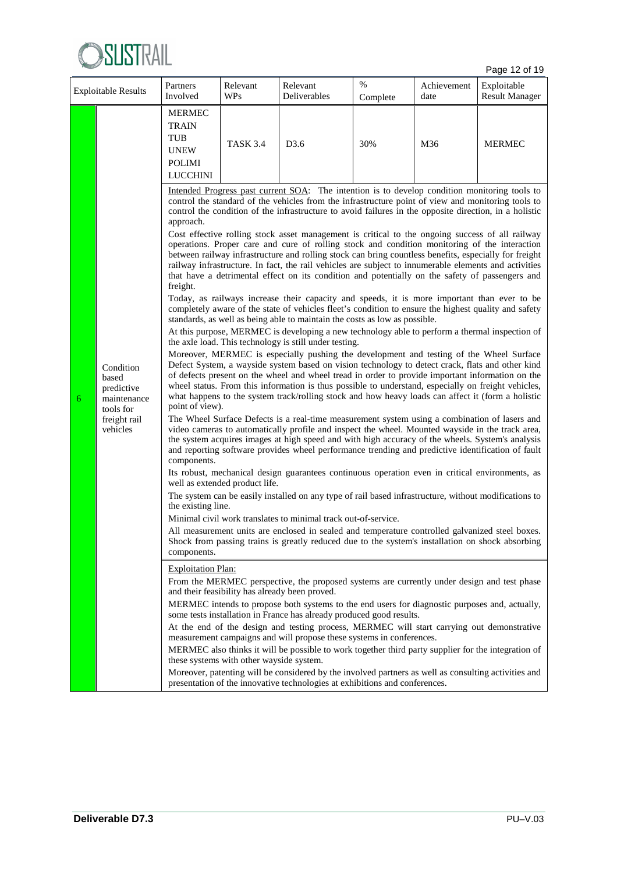

Page 12 of 19

| <b>Exploitable Results</b> |                                                                                          | Partners<br>Involved                                                                                                      | Relevant<br><b>WPs</b>                                                     | Relevant<br>Deliverables                                                                                                                                                                                                                                                                                                                                                                                                                                                                                                                                                                                                                                                                                                                                                                                                                                                                                                                                                                                                                                                                                                                                                                                                                                                                                                                                                                                                                                                                                                                                                                                                                                                                                                                                                                                                                                                                                                                                                                                                                                                                                                                                                                                                                                                                                                                                                                                                                                                                                                                                                                                                                                                                                                                                                                                                                                                                                                                                                                                                                                                                                                                                                                                                                                                                                                                                                                                                                                                                                 | $\%$<br>Complete | Achievement<br>date | Exploitable<br><b>Result Manager</b> |  |  |
|----------------------------|------------------------------------------------------------------------------------------|---------------------------------------------------------------------------------------------------------------------------|----------------------------------------------------------------------------|----------------------------------------------------------------------------------------------------------------------------------------------------------------------------------------------------------------------------------------------------------------------------------------------------------------------------------------------------------------------------------------------------------------------------------------------------------------------------------------------------------------------------------------------------------------------------------------------------------------------------------------------------------------------------------------------------------------------------------------------------------------------------------------------------------------------------------------------------------------------------------------------------------------------------------------------------------------------------------------------------------------------------------------------------------------------------------------------------------------------------------------------------------------------------------------------------------------------------------------------------------------------------------------------------------------------------------------------------------------------------------------------------------------------------------------------------------------------------------------------------------------------------------------------------------------------------------------------------------------------------------------------------------------------------------------------------------------------------------------------------------------------------------------------------------------------------------------------------------------------------------------------------------------------------------------------------------------------------------------------------------------------------------------------------------------------------------------------------------------------------------------------------------------------------------------------------------------------------------------------------------------------------------------------------------------------------------------------------------------------------------------------------------------------------------------------------------------------------------------------------------------------------------------------------------------------------------------------------------------------------------------------------------------------------------------------------------------------------------------------------------------------------------------------------------------------------------------------------------------------------------------------------------------------------------------------------------------------------------------------------------------------------------------------------------------------------------------------------------------------------------------------------------------------------------------------------------------------------------------------------------------------------------------------------------------------------------------------------------------------------------------------------------------------------------------------------------------------------------------------------------|------------------|---------------------|--------------------------------------|--|--|
|                            |                                                                                          | <b>MERMEC</b><br><b>TRAIN</b><br><b>TUB</b><br><b>UNEW</b><br><b>POLIMI</b><br><b>LUCCHINI</b>                            | <b>TASK 3.4</b><br>D3.6<br>30%<br>M36<br><b>MERMEC</b>                     |                                                                                                                                                                                                                                                                                                                                                                                                                                                                                                                                                                                                                                                                                                                                                                                                                                                                                                                                                                                                                                                                                                                                                                                                                                                                                                                                                                                                                                                                                                                                                                                                                                                                                                                                                                                                                                                                                                                                                                                                                                                                                                                                                                                                                                                                                                                                                                                                                                                                                                                                                                                                                                                                                                                                                                                                                                                                                                                                                                                                                                                                                                                                                                                                                                                                                                                                                                                                                                                                                                          |                  |                     |                                      |  |  |
| 6                          | Condition<br>based<br>predictive<br>maintenance<br>tools for<br>freight rail<br>vehicles | approach.<br>freight.<br>point of view).<br>components.<br>the existing line.<br>components.<br><b>Exploitation Plan:</b> | well as extended product life.<br>these systems with other wayside system. | Intended Progress past current SOA: The intention is to develop condition monitoring tools to<br>control the standard of the vehicles from the infrastructure point of view and monitoring tools to<br>control the condition of the infrastructure to avoid failures in the opposite direction, in a holistic<br>Cost effective rolling stock asset management is critical to the ongoing success of all railway<br>operations. Proper care and cure of rolling stock and condition monitoring of the interaction<br>between railway infrastructure and rolling stock can bring countless benefits, especially for freight<br>railway infrastructure. In fact, the rail vehicles are subject to innumerable elements and activities<br>that have a detrimental effect on its condition and potentially on the safety of passengers and<br>Today, as railways increase their capacity and speeds, it is more important than ever to be<br>completely aware of the state of vehicles fleet's condition to ensure the highest quality and safety<br>standards, as well as being able to maintain the costs as low as possible.<br>At this purpose, MERMEC is developing a new technology able to perform a thermal inspection of<br>the axle load. This technology is still under testing.<br>Moreover, MERMEC is especially pushing the development and testing of the Wheel Surface<br>Defect System, a wayside system based on vision technology to detect crack, flats and other kind<br>of defects present on the wheel and wheel tread in order to provide important information on the<br>wheel status. From this information is thus possible to understand, especially on freight vehicles,<br>what happens to the system track/rolling stock and how heavy loads can affect it (form a holistic<br>The Wheel Surface Defects is a real-time measurement system using a combination of lasers and<br>video cameras to automatically profile and inspect the wheel. Mounted wayside in the track area,<br>the system acquires images at high speed and with high accuracy of the wheels. System's analysis<br>and reporting software provides wheel performance trending and predictive identification of fault<br>Its robust, mechanical design guarantees continuous operation even in critical environments, as<br>The system can be easily installed on any type of rail based infrastructure, without modifications to<br>Minimal civil work translates to minimal track out-of-service.<br>All measurement units are enclosed in sealed and temperature controlled galvanized steel boxes.<br>Shock from passing trains is greatly reduced due to the system's installation on shock absorbing<br>From the MERMEC perspective, the proposed systems are currently under design and test phase<br>and their feasibility has already been proved.<br>MERMEC intends to propose both systems to the end users for diagnostic purposes and, actually,<br>some tests installation in France has already produced good results.<br>At the end of the design and testing process, MERMEC will start carrying out demonstrative<br>measurement campaigns and will propose these systems in conferences.<br>MERMEC also thinks it will be possible to work together third party supplier for the integration of<br>Moreover, patenting will be considered by the involved partners as well as consulting activities and<br>presentation of the innovative technologies at exhibitions and conferences. |                  |                     |                                      |  |  |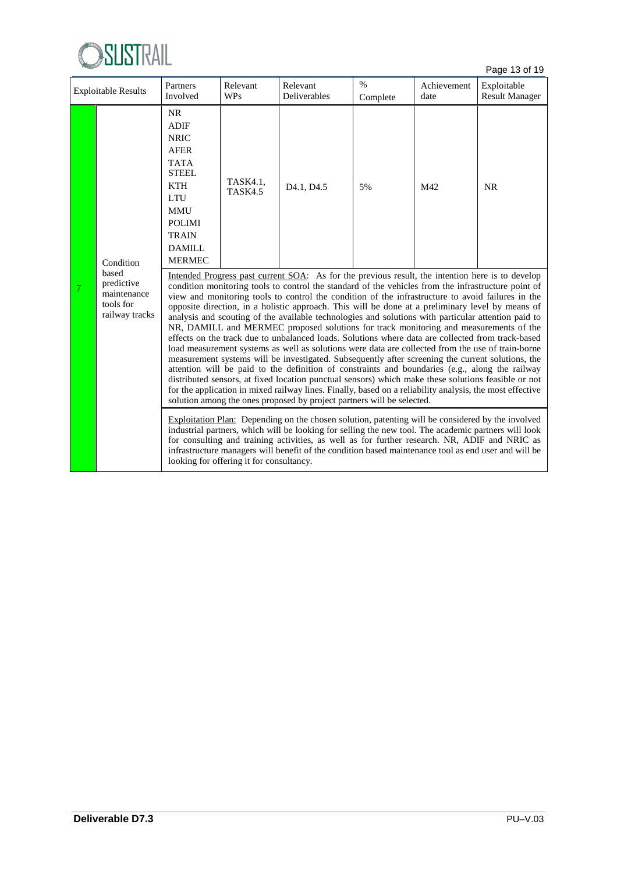

Page 13 of 19

| <b>Exploitable Results</b> |                                                          | Partners<br>Involved                                                                                                                                                                                                                                                                                                                                      | Relevant<br><b>WPs</b> | Relevant<br>Deliverables                                                                                                                                                                                                                                                                                                                                                                                                                                                                                                                                                                                                                                                                                                                                                                                                                                                                                                                                                                                                                                                                                                                                                                                                                                                                                                                                                                                                             | $\%$<br>Complete | Achievement<br>date | Exploitable<br><b>Result Manager</b> |
|----------------------------|----------------------------------------------------------|-----------------------------------------------------------------------------------------------------------------------------------------------------------------------------------------------------------------------------------------------------------------------------------------------------------------------------------------------------------|------------------------|--------------------------------------------------------------------------------------------------------------------------------------------------------------------------------------------------------------------------------------------------------------------------------------------------------------------------------------------------------------------------------------------------------------------------------------------------------------------------------------------------------------------------------------------------------------------------------------------------------------------------------------------------------------------------------------------------------------------------------------------------------------------------------------------------------------------------------------------------------------------------------------------------------------------------------------------------------------------------------------------------------------------------------------------------------------------------------------------------------------------------------------------------------------------------------------------------------------------------------------------------------------------------------------------------------------------------------------------------------------------------------------------------------------------------------------|------------------|---------------------|--------------------------------------|
|                            | Condition<br>based                                       | <b>NR</b><br><b>ADIF</b><br><b>NRIC</b><br><b>AFER</b><br><b>TATA</b><br><b>STEEL</b><br><b>KTH</b><br><b>LTU</b><br><b>MMU</b><br><b>POLIMI</b><br><b>TRAIN</b><br>DAMILL<br><b>MERMEC</b>                                                                                                                                                               | TASK4.1,<br>TASK4.5    | D <sub>4.1</sub> , D <sub>4.5</sub>                                                                                                                                                                                                                                                                                                                                                                                                                                                                                                                                                                                                                                                                                                                                                                                                                                                                                                                                                                                                                                                                                                                                                                                                                                                                                                                                                                                                  | 5%               | M42                 | <b>NR</b>                            |
| 7                          | predictive<br>maintenance<br>tools for<br>railway tracks |                                                                                                                                                                                                                                                                                                                                                           |                        | Intended Progress past current SOA: As for the previous result, the intention here is to develop<br>condition monitoring tools to control the standard of the vehicles from the infrastructure point of<br>view and monitoring tools to control the condition of the infrastructure to avoid failures in the<br>opposite direction, in a holistic approach. This will be done at a preliminary level by means of<br>analysis and scouting of the available technologies and solutions with particular attention paid to<br>NR, DAMILL and MERMEC proposed solutions for track monitoring and measurements of the<br>effects on the track due to unbalanced loads. Solutions where data are collected from track-based<br>load measurement systems as well as solutions were data are collected from the use of train-borne<br>measurement systems will be investigated. Subsequently after screening the current solutions, the<br>attention will be paid to the definition of constraints and boundaries (e.g., along the railway<br>distributed sensors, at fixed location punctual sensors) which make these solutions feasible or not<br>for the application in mixed railway lines. Finally, based on a reliability analysis, the most effective<br>solution among the ones proposed by project partners will be selected.<br>Exploitation Plan: Depending on the chosen solution, patenting will be considered by the involved |                  |                     |                                      |
|                            |                                                          | industrial partners, which will be looking for selling the new tool. The academic partners will look<br>for consulting and training activities, as well as for further research. NR, ADIF and NRIC as<br>infrastructure managers will benefit of the condition based maintenance tool as end user and will be<br>looking for offering it for consultancy. |                        |                                                                                                                                                                                                                                                                                                                                                                                                                                                                                                                                                                                                                                                                                                                                                                                                                                                                                                                                                                                                                                                                                                                                                                                                                                                                                                                                                                                                                                      |                  |                     |                                      |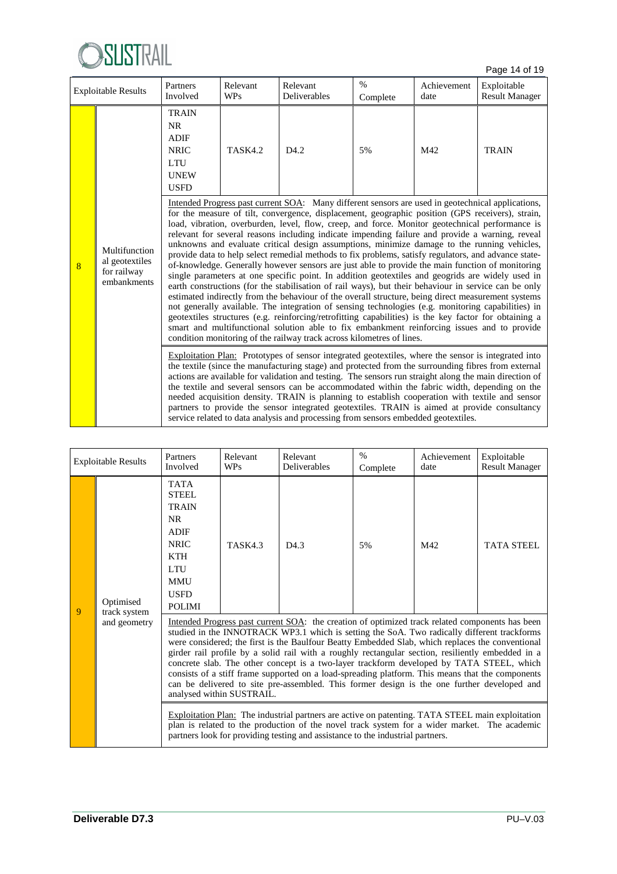

Page 14 of 19

| <b>Exploitable Results</b> |                                                               | Partners<br>Involved                                                                         | Relevant<br><b>WPs</b> | Relevant<br>Deliverables                                                                                                                                                                                                                                                                                                                                                                                                                                                                                                                                                                                                                                                                                                                                                                                                                                                                                                                                                                                                                                                                                                                                                                                                                                                                                                                                                                                                        | $\%$<br>Complete | Achievement<br>date | Exploitable<br><b>Result Manager</b> |
|----------------------------|---------------------------------------------------------------|----------------------------------------------------------------------------------------------|------------------------|---------------------------------------------------------------------------------------------------------------------------------------------------------------------------------------------------------------------------------------------------------------------------------------------------------------------------------------------------------------------------------------------------------------------------------------------------------------------------------------------------------------------------------------------------------------------------------------------------------------------------------------------------------------------------------------------------------------------------------------------------------------------------------------------------------------------------------------------------------------------------------------------------------------------------------------------------------------------------------------------------------------------------------------------------------------------------------------------------------------------------------------------------------------------------------------------------------------------------------------------------------------------------------------------------------------------------------------------------------------------------------------------------------------------------------|------------------|---------------------|--------------------------------------|
|                            |                                                               | <b>TRAIN</b><br>NR<br><b>ADIF</b><br><b>NRIC</b><br><b>LTU</b><br><b>UNEW</b><br><b>USFD</b> | <b>TASK4.2</b>         | D <sub>4.2</sub>                                                                                                                                                                                                                                                                                                                                                                                                                                                                                                                                                                                                                                                                                                                                                                                                                                                                                                                                                                                                                                                                                                                                                                                                                                                                                                                                                                                                                | 5%               | M42                 | <b>TRAIN</b>                         |
| 8                          | Multifunction<br>al geotextiles<br>for railway<br>embankments |                                                                                              |                        | Intended Progress past current SOA: Many different sensors are used in geotechnical applications,<br>for the measure of tilt, convergence, displacement, geographic position (GPS receivers), strain,<br>load, vibration, overburden, level, flow, creep, and force. Monitor geotechnical performance is<br>relevant for several reasons including indicate impending failure and provide a warning, reveal<br>unknowns and evaluate critical design assumptions, minimize damage to the running vehicles,<br>provide data to help select remedial methods to fix problems, satisfy regulators, and advance state-<br>of-knowledge. Generally however sensors are just able to provide the main function of monitoring<br>single parameters at one specific point. In addition geotextiles and geogrids are widely used in<br>earth constructions (for the stabilisation of rail ways), but their behaviour in service can be only<br>estimated indirectly from the behaviour of the overall structure, being direct measurement systems<br>not generally available. The integration of sensing technologies (e.g. monitoring capabilities) in<br>geotextiles structures (e.g. reinforcing/retrofitting capabilities) is the key factor for obtaining a<br>smart and multifunctional solution able to fix embankment reinforcing issues and to provide<br>condition monitoring of the railway track across kilometres of lines. |                  |                     |                                      |
|                            |                                                               |                                                                                              |                        | Exploitation Plan: Prototypes of sensor integrated geotextiles, where the sensor is integrated into<br>the textile (since the manufacturing stage) and protected from the surrounding fibres from external<br>actions are available for validation and testing. The sensors run straight along the main direction of<br>the textile and several sensors can be accommodated within the fabric width, depending on the<br>needed acquisition density. TRAIN is planning to establish cooperation with textile and sensor<br>partners to provide the sensor integrated geotextiles. TRAIN is aimed at provide consultancy<br>service related to data analysis and processing from sensors embedded geotextiles.                                                                                                                                                                                                                                                                                                                                                                                                                                                                                                                                                                                                                                                                                                                   |                  |                     |                                      |

| <b>Exploitable Results</b> |                              | Partners<br>Involved                                                                                                                                             | Relevant<br><b>WPs</b>    | Relevant<br><b>Deliverables</b>                                                | $\%$<br>Complete | Achievement<br>date                                                                                                                                                                                                                                                                                                                                                                                                                                                                                                                                                                                                                                                                                                                                                                                                                                                                                        | Exploitable<br><b>Result Manager</b> |  |  |
|----------------------------|------------------------------|------------------------------------------------------------------------------------------------------------------------------------------------------------------|---------------------------|--------------------------------------------------------------------------------|------------------|------------------------------------------------------------------------------------------------------------------------------------------------------------------------------------------------------------------------------------------------------------------------------------------------------------------------------------------------------------------------------------------------------------------------------------------------------------------------------------------------------------------------------------------------------------------------------------------------------------------------------------------------------------------------------------------------------------------------------------------------------------------------------------------------------------------------------------------------------------------------------------------------------------|--------------------------------------|--|--|
| 9                          | Optimised                    | <b>TATA</b><br><b>STEEL</b><br><b>TRAIN</b><br><b>NR</b><br><b>ADIF</b><br><b>NRIC</b><br><b>KTH</b><br><b>LTU</b><br><b>MMU</b><br><b>USFD</b><br><b>POLIMI</b> | TASK43                    | D <sub>4.3</sub>                                                               | 5%               | M42                                                                                                                                                                                                                                                                                                                                                                                                                                                                                                                                                                                                                                                                                                                                                                                                                                                                                                        | <b>TATA STEEL</b>                    |  |  |
|                            | track system<br>and geometry |                                                                                                                                                                  | analysed within SUSTRAIL. | partners look for providing testing and assistance to the industrial partners. |                  | Intended Progress past current SOA: the creation of optimized track related components has been<br>studied in the INNOTRACK WP3.1 which is setting the SoA. Two radically different trackforms<br>were considered; the first is the Baulfour Beatty Embedded Slab, which replaces the conventional<br>girder rail profile by a solid rail with a roughly rectangular section, resiliently embedded in a<br>concrete slab. The other concept is a two-layer trackform developed by TATA STEEL, which<br>consists of a stiff frame supported on a load-spreading platform. This means that the components<br>can be delivered to site pre-assembled. This former design is the one further developed and<br>Exploitation Plan: The industrial partners are active on patenting. TATA STEEL main exploitation<br>plan is related to the production of the novel track system for a wider market. The academic |                                      |  |  |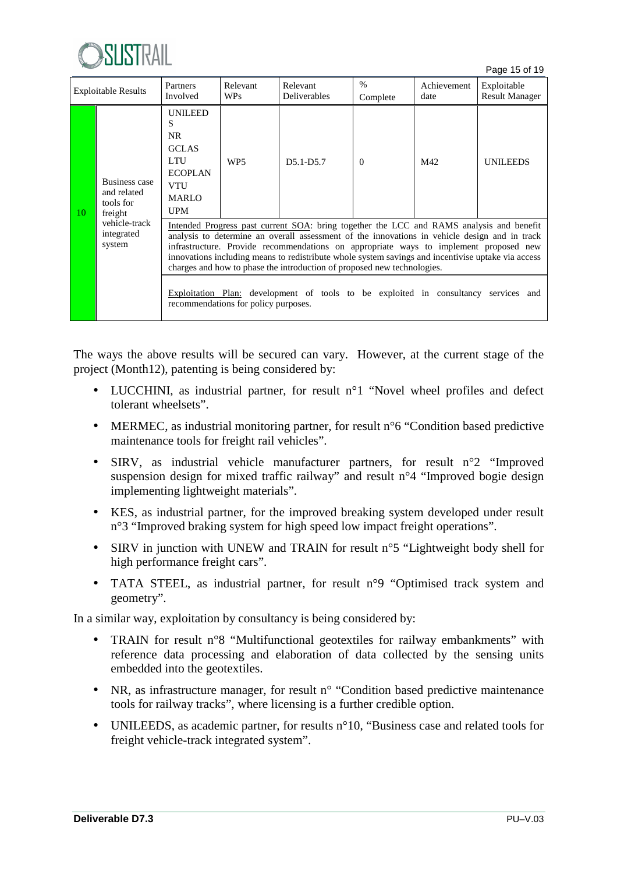

Page 15 of 19

| <b>Exploitable Results</b> |                                                      | Partners<br>Involved                                                                                                                                                                                                                                                                                                                                                                                                                                                | Relevant<br><b>WPs</b> | Relevant<br><b>Deliverables</b> | $\frac{0}{0}$<br>Complete | Achievement<br>date | Exploitable<br><b>Result Manager</b> |  |  |
|----------------------------|------------------------------------------------------|---------------------------------------------------------------------------------------------------------------------------------------------------------------------------------------------------------------------------------------------------------------------------------------------------------------------------------------------------------------------------------------------------------------------------------------------------------------------|------------------------|---------------------------------|---------------------------|---------------------|--------------------------------------|--|--|
| 10                         | Business case<br>and related<br>tools for<br>freight | <b>UNILEED</b><br>S<br>NR.<br><b>GCLAS</b><br><b>LTU</b><br><b>ECOPLAN</b><br><b>VTU</b><br><b>MARLO</b><br><b>UPM</b>                                                                                                                                                                                                                                                                                                                                              | WP <sub>5</sub>        | $D5.1-D5.7$                     | $\Omega$                  | M42                 | <b>UNILEEDS</b>                      |  |  |
|                            | vehicle-track<br>integrated<br>system                | Intended Progress past current SOA: bring together the LCC and RAMS analysis and benefit<br>analysis to determine an overall assessment of the innovations in vehicle design and in track<br>infrastructure. Provide recommendations on appropriate ways to implement proposed new<br>innovations including means to redistribute whole system savings and incentivise uptake via access<br>charges and how to phase the introduction of proposed new technologies. |                        |                                 |                           |                     |                                      |  |  |
|                            |                                                      | Exploitation Plan: development of tools to be exploited in consultancy services and<br>recommendations for policy purposes.                                                                                                                                                                                                                                                                                                                                         |                        |                                 |                           |                     |                                      |  |  |

The ways the above results will be secured can vary. However, at the current stage of the project (Month12), patenting is being considered by:

- LUCCHINI, as industrial partner, for result n°1 "Novel wheel profiles and defect tolerant wheelsets".
- MERMEC, as industrial monitoring partner, for result n°6 "Condition based predictive maintenance tools for freight rail vehicles".
- SIRV, as industrial vehicle manufacturer partners, for result n°2 "Improved suspension design for mixed traffic railway" and result n°4 "Improved bogie design implementing lightweight materials".
- KES, as industrial partner, for the improved breaking system developed under result n°3 "Improved braking system for high speed low impact freight operations".
- SIRV in junction with UNEW and TRAIN for result n°5 "Lightweight body shell for high performance freight cars".
- TATA STEEL, as industrial partner, for result n°9 "Optimised track system and geometry".

In a similar way, exploitation by consultancy is being considered by:

- TRAIN for result n°8 "Multifunctional geotextiles for railway embankments" with reference data processing and elaboration of data collected by the sensing units embedded into the geotextiles.
- NR, as infrastructure manager, for result n° "Condition based predictive maintenance tools for railway tracks", where licensing is a further credible option.
- UNILEEDS, as academic partner, for results n°10, "Business case and related tools for freight vehicle-track integrated system".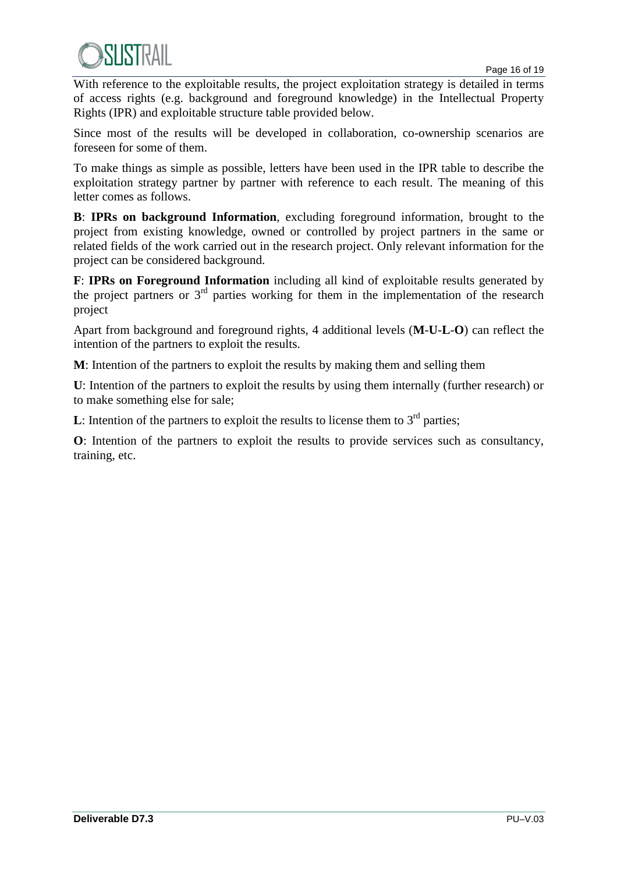With reference to the exploitable results, the project exploitation strategy is detailed in terms of access rights (e.g. background and foreground knowledge) in the Intellectual Property Rights (IPR) and exploitable structure table provided below.

Since most of the results will be developed in collaboration, co-ownership scenarios are foreseen for some of them.

To make things as simple as possible, letters have been used in the IPR table to describe the exploitation strategy partner by partner with reference to each result. The meaning of this letter comes as follows.

**B**: **IPRs on background Information**, excluding foreground information, brought to the project from existing knowledge, owned or controlled by project partners in the same or related fields of the work carried out in the research project. Only relevant information for the project can be considered background.

**F**: **IPRs on Foreground Information** including all kind of exploitable results generated by the project partners or  $3<sup>rd</sup>$  parties working for them in the implementation of the research project

Apart from background and foreground rights, 4 additional levels (**M**-**U**-**L**-**O**) can reflect the intention of the partners to exploit the results.

**M**: Intention of the partners to exploit the results by making them and selling them

**U**: Intention of the partners to exploit the results by using them internally (further research) or to make something else for sale;

**L**: Intention of the partners to exploit the results to license them to  $3<sup>rd</sup>$  parties;

**O**: Intention of the partners to exploit the results to provide services such as consultancy, training, etc.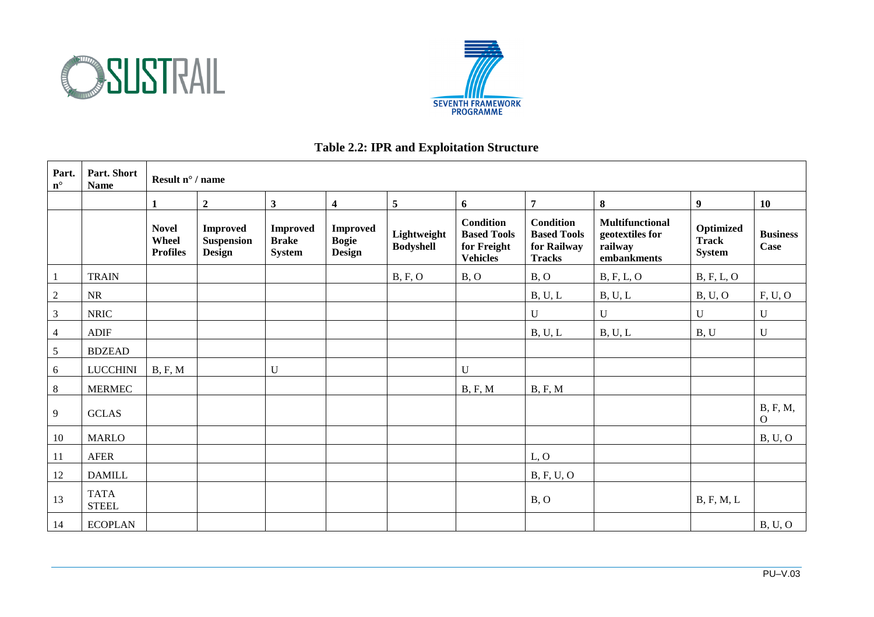



#### **Table 2.2: IPR and Exploitation Structure**

| Part.<br>$n^{\circ}$ | Part. Short<br><b>Name</b>  |                                          | Result $n^{\circ}$ / name                             |                                                  |                                                  |                                 |                                                                          |                                                                        |                                                                     |                                            |                                |
|----------------------|-----------------------------|------------------------------------------|-------------------------------------------------------|--------------------------------------------------|--------------------------------------------------|---------------------------------|--------------------------------------------------------------------------|------------------------------------------------------------------------|---------------------------------------------------------------------|--------------------------------------------|--------------------------------|
|                      |                             | 1                                        | $\boldsymbol{2}$                                      | $\mathbf{3}$                                     | $\overline{\mathbf{4}}$                          | $\overline{5}$                  | 6                                                                        | $\overline{7}$                                                         | 8                                                                   | 9                                          | 10                             |
|                      |                             | <b>Novel</b><br>Wheel<br><b>Profiles</b> | <b>Improved</b><br><b>Suspension</b><br><b>Design</b> | <b>Improved</b><br><b>Brake</b><br><b>System</b> | <b>Improved</b><br><b>Bogie</b><br><b>Design</b> | Lightweight<br><b>Bodyshell</b> | <b>Condition</b><br><b>Based Tools</b><br>for Freight<br><b>Vehicles</b> | <b>Condition</b><br><b>Based Tools</b><br>for Railway<br><b>Tracks</b> | <b>Multifunctional</b><br>geotextiles for<br>railway<br>embankments | Optimized<br><b>Track</b><br><b>System</b> | <b>Business</b><br><b>Case</b> |
|                      | <b>TRAIN</b>                |                                          |                                                       |                                                  |                                                  | B, F, O                         | B, O                                                                     | B, O                                                                   | B, F, L, O                                                          | B, F, L, O                                 |                                |
| $\sqrt{2}$           | NR                          |                                          |                                                       |                                                  |                                                  |                                 |                                                                          | B, U, L                                                                | B, U, L                                                             | B, U, O                                    | F, U, O                        |
| $\mathfrak{Z}$       | <b>NRIC</b>                 |                                          |                                                       |                                                  |                                                  |                                 |                                                                          | U                                                                      | $\mathbf U$                                                         | $\mathbf U$                                | U                              |
| $\overline{4}$       | <b>ADIF</b>                 |                                          |                                                       |                                                  |                                                  |                                 |                                                                          | B, U, L                                                                | B, U, L                                                             | B, U                                       | $\mathbf U$                    |
| $\sqrt{5}$           | <b>BDZEAD</b>               |                                          |                                                       |                                                  |                                                  |                                 |                                                                          |                                                                        |                                                                     |                                            |                                |
| 6                    | <b>LUCCHINI</b>             | B, F, M                                  |                                                       | U                                                |                                                  |                                 | $\mathbf U$                                                              |                                                                        |                                                                     |                                            |                                |
| $\,8\,$              | <b>MERMEC</b>               |                                          |                                                       |                                                  |                                                  |                                 | B, F, M                                                                  | B, F, M                                                                |                                                                     |                                            |                                |
| 9                    | <b>GCLAS</b>                |                                          |                                                       |                                                  |                                                  |                                 |                                                                          |                                                                        |                                                                     |                                            | B, F, M,<br>$\overline{O}$     |
| 10                   | <b>MARLO</b>                |                                          |                                                       |                                                  |                                                  |                                 |                                                                          |                                                                        |                                                                     |                                            | B, U, O                        |
| 11                   | AFER                        |                                          |                                                       |                                                  |                                                  |                                 |                                                                          | L, O                                                                   |                                                                     |                                            |                                |
| 12                   | <b>DAMILL</b>               |                                          |                                                       |                                                  |                                                  |                                 |                                                                          | <b>B</b> , F, U, O                                                     |                                                                     |                                            |                                |
| 13                   | <b>TATA</b><br><b>STEEL</b> |                                          |                                                       |                                                  |                                                  |                                 |                                                                          | B, O                                                                   |                                                                     | B, F, M, L                                 |                                |
| 14                   | <b>ECOPLAN</b>              |                                          |                                                       |                                                  |                                                  |                                 |                                                                          |                                                                        |                                                                     |                                            | B, U, O                        |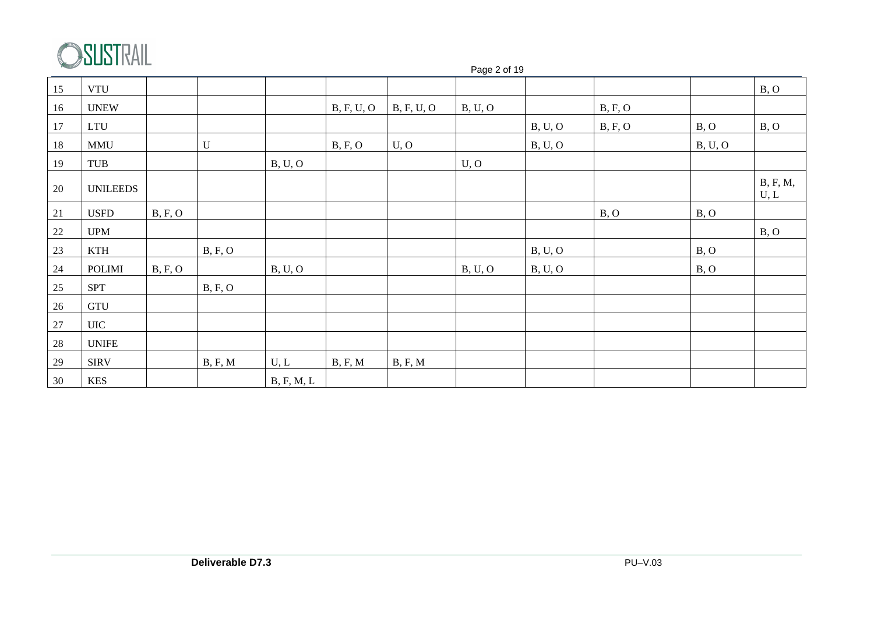

|    | $\mathbf{v} = \mathbf{v} \mathbf{v} \mathbf{v} \mathbf{v} \mathbf{v}$ |         | Page 2 of 19 |            |            |            |         |         |         |         |                  |  |
|----|-----------------------------------------------------------------------|---------|--------------|------------|------------|------------|---------|---------|---------|---------|------------------|--|
| 15 | <b>VTU</b>                                                            |         |              |            |            |            |         |         |         |         | B, O             |  |
| 16 | <b>UNEW</b>                                                           |         |              |            | B, F, U, O | B, F, U, O | B, U, O |         | B, F, O |         |                  |  |
| 17 | <b>LTU</b>                                                            |         |              |            |            |            |         | B, U, O | B, F, O | B, O    | B, O             |  |
| 18 | <b>MMU</b>                                                            |         | $\mathbf U$  |            | B, F, O    | U, O       |         | B, U, O |         | B, U, O |                  |  |
| 19 | TUB                                                                   |         |              | B, U, O    |            |            | U, O    |         |         |         |                  |  |
| 20 | <b>UNILEEDS</b>                                                       |         |              |            |            |            |         |         |         |         | B, F, M,<br>U, L |  |
| 21 | <b>USFD</b>                                                           | B, F, O |              |            |            |            |         |         | B, O    | B, O    |                  |  |
| 22 | <b>UPM</b>                                                            |         |              |            |            |            |         |         |         |         | B, O             |  |
| 23 | <b>KTH</b>                                                            |         | B, F, O      |            |            |            |         | B, U, O |         | B, O    |                  |  |
| 24 | <b>POLIMI</b>                                                         | B, F, O |              | B, U, O    |            |            | B, U, O | B, U, O |         | B, O    |                  |  |
| 25 | <b>SPT</b>                                                            |         | B, F, O      |            |            |            |         |         |         |         |                  |  |
| 26 | GTU                                                                   |         |              |            |            |            |         |         |         |         |                  |  |
| 27 | <b>UIC</b>                                                            |         |              |            |            |            |         |         |         |         |                  |  |
| 28 | <b>UNIFE</b>                                                          |         |              |            |            |            |         |         |         |         |                  |  |
| 29 | <b>SIRV</b>                                                           |         | B, F, M      | U, L       | B, F, M    | B, F, M    |         |         |         |         |                  |  |
| 30 | <b>KES</b>                                                            |         |              | B, F, M, L |            |            |         |         |         |         |                  |  |